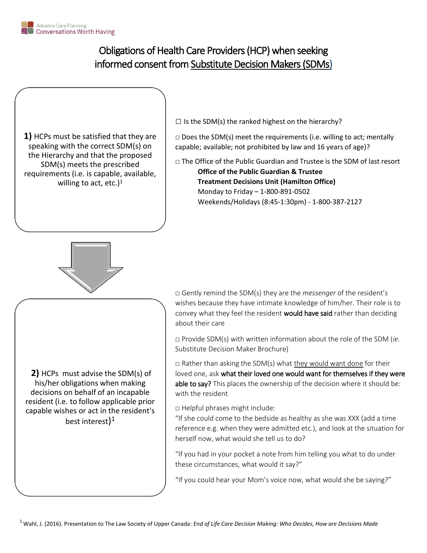

# Obligations of Health Care Providers (HCP) when seeking informed consent from Substitute Decision Makers (SDMs)

**1)** HCPs must be satisfied that they are speaking with the correct SDM(s) on the Hierarchy and that the proposed SDM(s) meets the prescribed requirements (i.e. is capable, available, willing to act, etc.)<sup>1</sup>

 $\Box$  Is the SDM(s) the ranked highest on the hierarchy?

 $\square$  Does the SDM(s) meet the requirements (i.e. willing to act; mentally capable; available; not prohibited by law and 16 years of age)?

□ The Office of the Public Guardian and Trustee is the SDM of last resort **Office of the Public Guardian & Trustee Treatment Decisions Unit (Hamilton Office)** Monday to Friday – 1-800-891-0502 Weekends/Holidays (8:45-1:30pm) - 1-800-387-2127



**2)** HCPs must advise the SDM(s) of his/her obligations when making decisions on behalf of an incapable resident (i.e. to follow applicable prior capable wishes or act in the resident's best interest $)^{1}$ 

□ Gently remind the SDM(s) they are the *messenger* of the resident's wishes because they have intimate knowledge of him/her. Their role is to convey what they feel the resident would have said rather than deciding about their care

□ Provide SDM(s) with written information about the role of the SDM (*ie.*  Substitute Decision Maker Brochure)

 $\Box$  Rather than asking the SDM(s) what they would want done for their loved one, ask what their loved one would want for themselves if they were able to say? This places the ownership of the decision where it should be: with the resident

□ Helpful phrases might include:

"If she could come to the bedside as healthy as she was XXX (add a time reference e.g. when they were admitted etc.), and look at the situation for herself now, what would she tell us to do?

"If you had in your pocket a note from him telling you what to do under these circumstances, what would it say?"

"If you could hear your Mom's voice now, what would she be saying?"